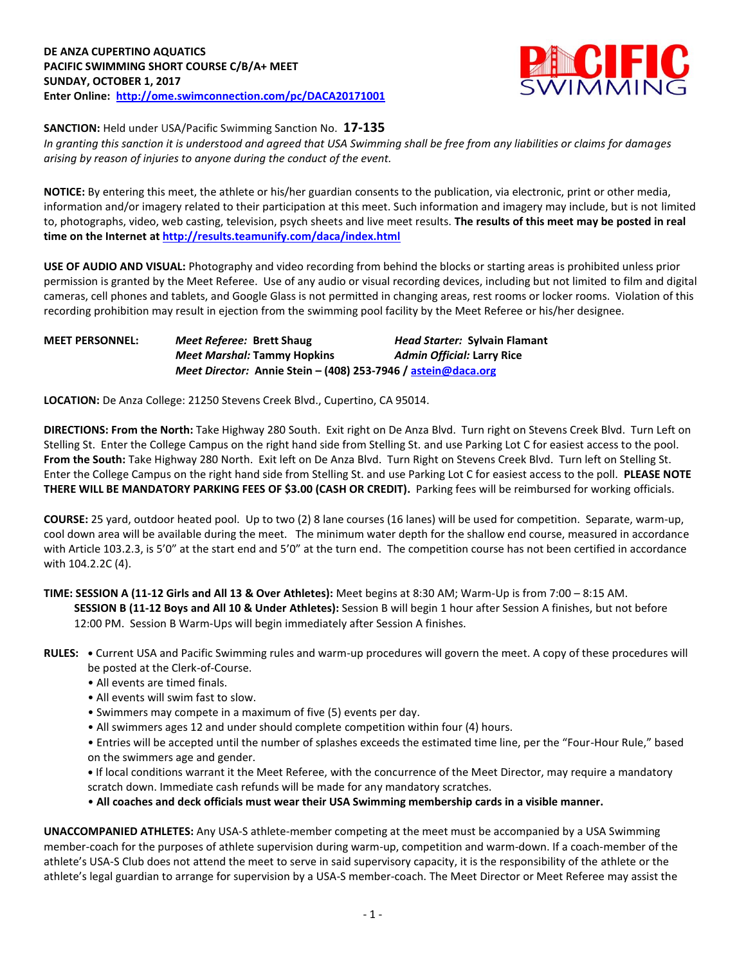

**SANCTION:** Held under USA/Pacific Swimming Sanction No. **17-135**

*In granting this sanction it is understood and agreed that USA Swimming shall be free from any liabilities or claims for damages arising by reason of injuries to anyone during the conduct of the event.*

**NOTICE:** By entering this meet, the athlete or his/her guardian consents to the publication, via electronic, print or other media, information and/or imagery related to their participation at this meet. Such information and imagery may include, but is not limited to, photographs, video, web casting, television, psych sheets and live meet results. **The results of this meet may be posted in real time on the Internet a[t http://results.teamunify.com/daca/index.html](http://results.teamunify.com/daca/index.html)**

**USE OF AUDIO AND VISUAL:** Photography and video recording from behind the blocks or starting areas is prohibited unless prior permission is granted by the Meet Referee. Use of any audio or visual recording devices, including but not limited to film and digital cameras, cell phones and tablets, and Google Glass is not permitted in changing areas, rest rooms or locker rooms. Violation of this recording prohibition may result in ejection from the swimming pool facility by the Meet Referee or his/her designee.

| <b>MEET PERSONNEL:</b> | Meet Referee: Brett Shaug                                                           | <b>Head Starter: Sylvain Flamant</b> |  |  |  |  |
|------------------------|-------------------------------------------------------------------------------------|--------------------------------------|--|--|--|--|
|                        | Meet Marshal: Tammy Hopkins                                                         | <b>Admin Official: Larry Rice</b>    |  |  |  |  |
|                        | <i>Meet Director:</i> Annie Stein – (408) 253-7946 / $\overline{a}$ astein@daca.org |                                      |  |  |  |  |

**LOCATION:** De Anza College: 21250 Stevens Creek Blvd., Cupertino, CA 95014.

**DIRECTIONS: From the North:** Take Highway 280 South. Exit right on De Anza Blvd. Turn right on Stevens Creek Blvd. Turn Left on Stelling St. Enter the College Campus on the right hand side from Stelling St. and use Parking Lot C for easiest access to the pool. **From the South:** Take Highway 280 North. Exit left on De Anza Blvd. Turn Right on Stevens Creek Blvd. Turn left on Stelling St. Enter the College Campus on the right hand side from Stelling St. and use Parking Lot C for easiest access to the poll. **PLEASE NOTE THERE WILL BE MANDATORY PARKING FEES OF \$3.00 (CASH OR CREDIT).** Parking fees will be reimbursed for working officials.

**COURSE:** 25 yard, outdoor heated pool. Up to two (2) 8 lane courses (16 lanes) will be used for competition. Separate, warm-up, cool down area will be available during the meet. The minimum water depth for the shallow end course, measured in accordance with Article 103.2.3, is 5'0" at the start end and 5'0" at the turn end. The competition course has not been certified in accordance with 104.2.2C (4).

**TIME: SESSION A (11-12 Girls and All 13 & Over Athletes):** Meet begins at 8:30 AM; Warm-Up is from 7:00 – 8:15 AM. **SESSION B (11-12 Boys and All 10 & Under Athletes):** Session B will begin 1 hour after Session A finishes, but not before 12:00 PM. Session B Warm-Ups will begin immediately after Session A finishes.

- **RULES: •** Current USA and Pacific Swimming rules and warm-up procedures will govern the meet. A copy of these procedures will be posted at the Clerk-of-Course.
	- All events are timed finals.
	- All events will swim fast to slow.
	- Swimmers may compete in a maximum of five (5) events per day.
	- All swimmers ages 12 and under should complete competition within four (4) hours.

• Entries will be accepted until the number of splashes exceeds the estimated time line, per the "Four-Hour Rule," based on the swimmers age and gender.

**•** If local conditions warrant it the Meet Referee, with the concurrence of the Meet Director, may require a mandatory scratch down. Immediate cash refunds will be made for any mandatory scratches.

• **All coaches and deck officials must wear their USA Swimming membership cards in a visible manner.** 

**UNACCOMPANIED ATHLETES:** Any USA-S athlete-member competing at the meet must be accompanied by a USA Swimming member-coach for the purposes of athlete supervision during warm-up, competition and warm-down. If a coach-member of the athlete's USA-S Club does not attend the meet to serve in said supervisory capacity, it is the responsibility of the athlete or the athlete's legal guardian to arrange for supervision by a USA-S member-coach. The Meet Director or Meet Referee may assist the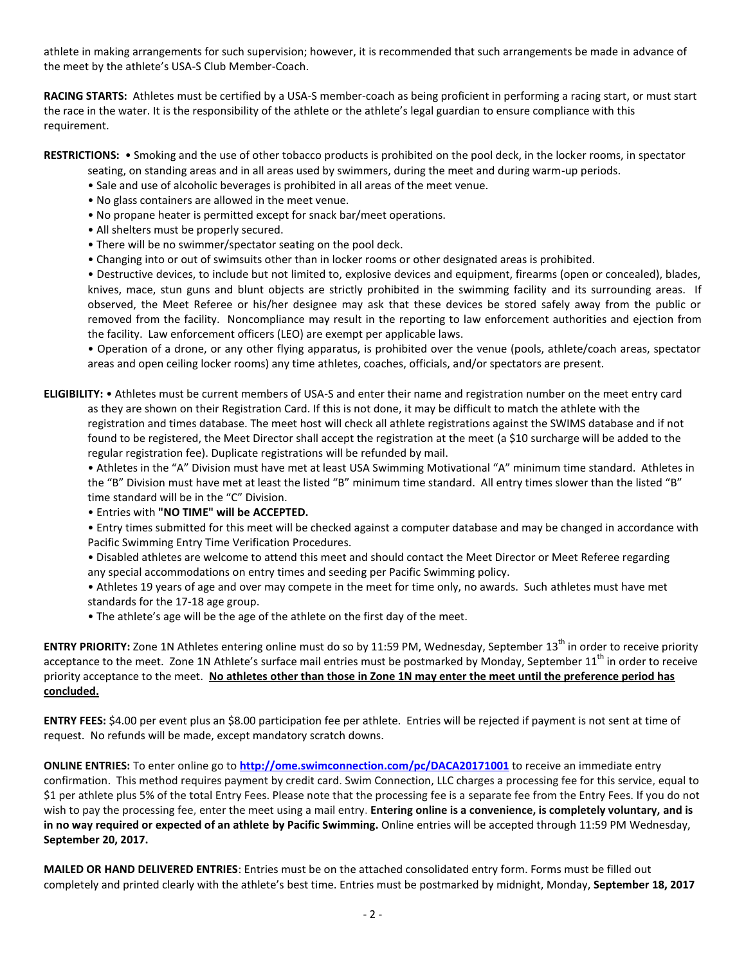athlete in making arrangements for such supervision; however, it is recommended that such arrangements be made in advance of the meet by the athlete's USA-S Club Member-Coach.

**RACING STARTS:** Athletes must be certified by a USA-S member-coach as being proficient in performing a racing start, or must start the race in the water. It is the responsibility of the athlete or the athlete's legal guardian to ensure compliance with this requirement.

**RESTRICTIONS:** • Smoking and the use of other tobacco products is prohibited on the pool deck, in the locker rooms, in spectator

seating, on standing areas and in all areas used by swimmers, during the meet and during warm-up periods.

- Sale and use of alcoholic beverages is prohibited in all areas of the meet venue.
- No glass containers are allowed in the meet venue.
- No propane heater is permitted except for snack bar/meet operations.
- All shelters must be properly secured.
- There will be no swimmer/spectator seating on the pool deck.
- Changing into or out of swimsuits other than in locker rooms or other designated areas is prohibited.

• Destructive devices, to include but not limited to, explosive devices and equipment, firearms (open or concealed), blades, knives, mace, stun guns and blunt objects are strictly prohibited in the swimming facility and its surrounding areas. If observed, the Meet Referee or his/her designee may ask that these devices be stored safely away from the public or removed from the facility. Noncompliance may result in the reporting to law enforcement authorities and ejection from the facility. Law enforcement officers (LEO) are exempt per applicable laws.

• Operation of a drone, or any other flying apparatus, is prohibited over the venue (pools, athlete/coach areas, spectator areas and open ceiling locker rooms) any time athletes, coaches, officials, and/or spectators are present.

**ELIGIBILITY:** • Athletes must be current members of USA-S and enter their name and registration number on the meet entry card as they are shown on their Registration Card. If this is not done, it may be difficult to match the athlete with the registration and times database. The meet host will check all athlete registrations against the SWIMS database and if not found to be registered, the Meet Director shall accept the registration at the meet (a \$10 surcharge will be added to the regular registration fee). Duplicate registrations will be refunded by mail.

• Athletes in the "A" Division must have met at least USA Swimming Motivational "A" minimum time standard. Athletes in the "B" Division must have met at least the listed "B" minimum time standard. All entry times slower than the listed "B" time standard will be in the "C" Division.

• Entries with **"NO TIME" will be ACCEPTED.**

• Entry times submitted for this meet will be checked against a computer database and may be changed in accordance with Pacific Swimming Entry Time Verification Procedures.

• Disabled athletes are welcome to attend this meet and should contact the Meet Director or Meet Referee regarding any special accommodations on entry times and seeding per Pacific Swimming policy.

• Athletes 19 years of age and over may compete in the meet for time only, no awards. Such athletes must have met standards for the 17-18 age group.

• The athlete's age will be the age of the athlete on the first day of the meet.

**ENTRY PRIORITY:** Zone 1N Athletes entering online must do so by 11:59 PM, Wednesday, September 13<sup>th</sup> in order to receive priority acceptance to the meet. Zone 1N Athlete's surface mail entries must be postmarked by Monday, September  $11<sup>th</sup>$  in order to receive priority acceptance to the meet. **No athletes other than those in Zone 1N may enter the meet until the preference period has concluded.**

**ENTRY FEES:** \$4.00 per event plus an \$8.00 participation fee per athlete. Entries will be rejected if payment is not sent at time of request. No refunds will be made, except mandatory scratch downs.

**ONLINE ENTRIES:** To enter online go to **<http://ome.swimconnection.com/pc/DACA20171001>** to receive an immediate entry confirmation. This method requires payment by credit card. Swim Connection, LLC charges a processing fee for this service, equal to \$1 per athlete plus 5% of the total Entry Fees. Please note that the processing fee is a separate fee from the Entry Fees. If you do not wish to pay the processing fee, enter the meet using a mail entry. **Entering online is a convenience, is completely voluntary, and is in no way required or expected of an athlete by Pacific Swimming.** Online entries will be accepted through 11:59 PM Wednesday, **September 20, 2017.**

**MAILED OR HAND DELIVERED ENTRIES**: Entries must be on the attached consolidated entry form. Forms must be filled out completely and printed clearly with the athlete's best time. Entries must be postmarked by midnight, Monday, **September 18, 2017**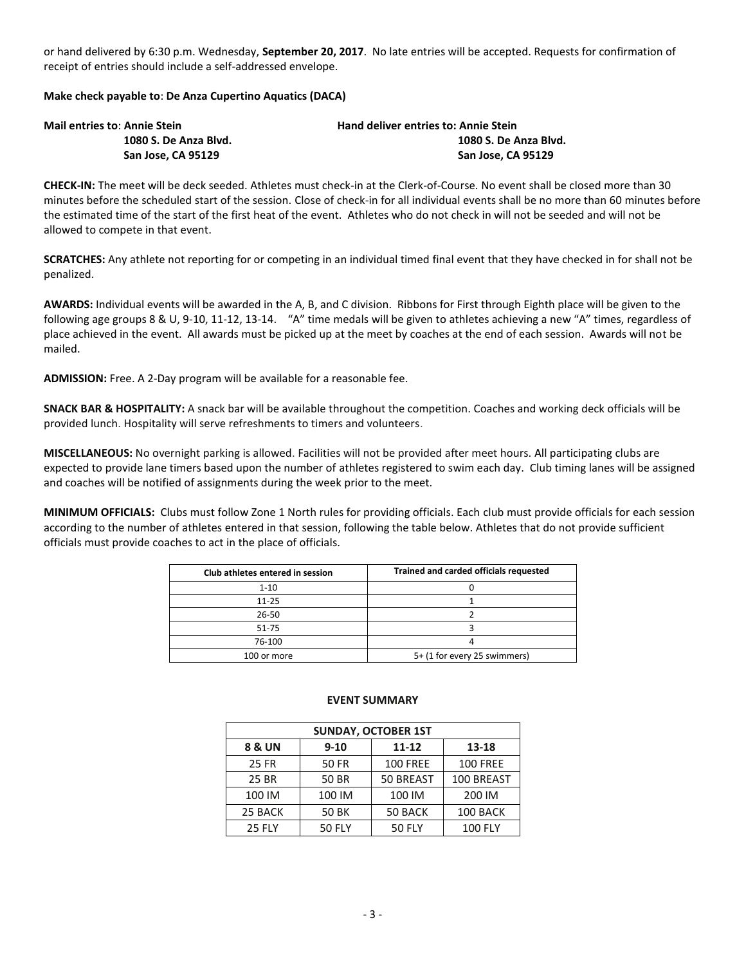or hand delivered by 6:30 p.m. Wednesday, **September 20, 2017**. No late entries will be accepted. Requests for confirmation of receipt of entries should include a self-addressed envelope.

## **Make check payable to**: **De Anza Cupertino Aquatics (DACA)**

| <b>Mail entries to: Annie Stein</b> | <b>Hand deliver entries to: Annie Stein</b> |  |  |  |  |
|-------------------------------------|---------------------------------------------|--|--|--|--|
| 1080 S. De Anza Blvd.               | 1080 S. De Anza Blvd.                       |  |  |  |  |
| San Jose. CA 95129                  | San Jose, CA 95129                          |  |  |  |  |

**CHECK-IN:** The meet will be deck seeded. Athletes must check-in at the Clerk-of-Course. No event shall be closed more than 30 minutes before the scheduled start of the session. Close of check-in for all individual events shall be no more than 60 minutes before the estimated time of the start of the first heat of the event. Athletes who do not check in will not be seeded and will not be allowed to compete in that event.

**SCRATCHES:** Any athlete not reporting for or competing in an individual timed final event that they have checked in for shall not be penalized.

**AWARDS:** Individual events will be awarded in the A, B, and C division. Ribbons for First through Eighth place will be given to the following age groups 8 & U, 9-10, 11-12, 13-14. "A" time medals will be given to athletes achieving a new "A" times, regardless of place achieved in the event. All awards must be picked up at the meet by coaches at the end of each session. Awards will not be mailed.

**ADMISSION:** Free. A 2-Day program will be available for a reasonable fee.

**SNACK BAR & HOSPITALITY:** A snack bar will be available throughout the competition. Coaches and working deck officials will be provided lunch. Hospitality will serve refreshments to timers and volunteers.

**MISCELLANEOUS:** No overnight parking is allowed. Facilities will not be provided after meet hours. All participating clubs are expected to provide lane timers based upon the number of athletes registered to swim each day. Club timing lanes will be assigned and coaches will be notified of assignments during the week prior to the meet.

**MINIMUM OFFICIALS:** Clubs must follow Zone 1 North rules for providing officials. Each club must provide officials for each session according to the number of athletes entered in that session, following the table below. Athletes that do not provide sufficient officials must provide coaches to act in the place of officials.

| Club athletes entered in session | Trained and carded officials requested |
|----------------------------------|----------------------------------------|
| $1 - 10$                         |                                        |
| $11 - 25$                        |                                        |
| 26-50                            |                                        |
| 51-75                            |                                        |
| 76-100                           |                                        |
| 100 or more                      | 5+ (1 for every 25 swimmers)           |

| <b>SUNDAY, OCTOBER 1ST</b> |               |                 |                 |  |  |  |  |
|----------------------------|---------------|-----------------|-----------------|--|--|--|--|
| <b>8 &amp; UN</b>          | $9 - 10$      | $11 - 12$       | 13-18           |  |  |  |  |
| <b>25 FR</b>               | <b>50 FR</b>  | <b>100 FREE</b> | <b>100 FREE</b> |  |  |  |  |
| 25 BR                      | <b>50 BR</b>  | 50 BREAST       | 100 BREAST      |  |  |  |  |
| 100 IM                     | 100 IM        | 100 IM          | 200 IM          |  |  |  |  |
| 25 BACK                    | 50 BK         | 50 BACK         | 100 BACK        |  |  |  |  |
| <b>25 FLY</b>              | <b>50 FLY</b> | <b>50 FLY</b>   | <b>100 FLY</b>  |  |  |  |  |

## **EVENT SUMMARY**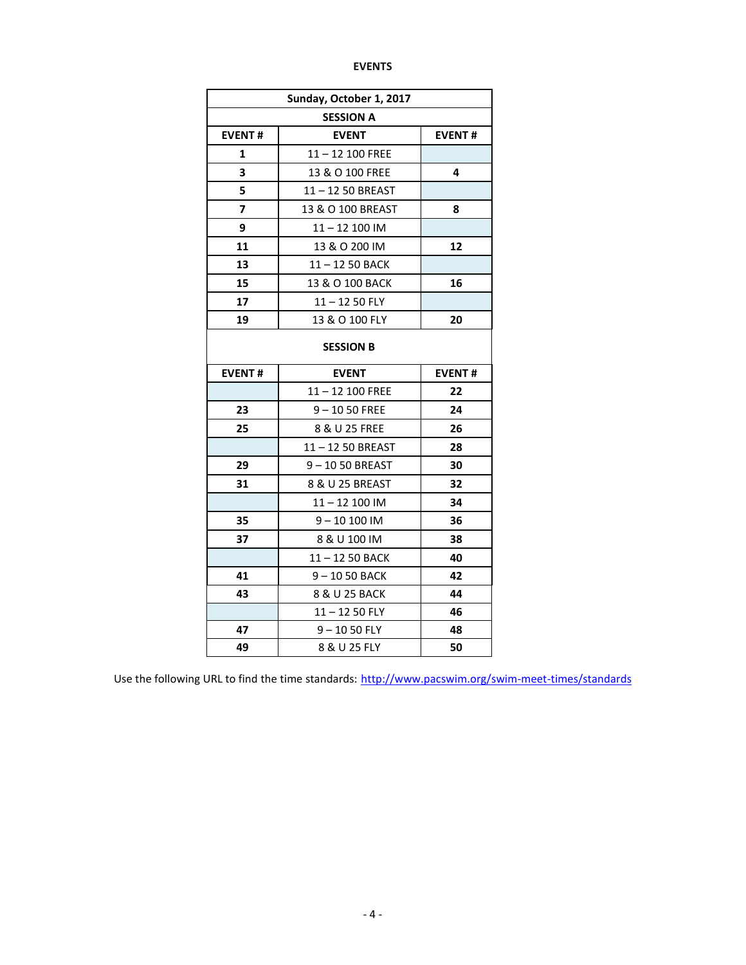| Sunday, October 1, 2017 |                   |               |  |  |  |
|-------------------------|-------------------|---------------|--|--|--|
| <b>SESSION A</b>        |                   |               |  |  |  |
| <b>EVENT#</b>           | <b>EVENT</b>      | <b>EVENT#</b> |  |  |  |
| 1                       | 11-12 100 FREE    |               |  |  |  |
| 3                       | 13 & O 100 FREE   | 4             |  |  |  |
| 5                       | 11-12 50 BREAST   |               |  |  |  |
| 7                       | 13 & O 100 BREAST | 8             |  |  |  |
| 9                       | 11-12 100 IM      |               |  |  |  |
| 11                      | 13 & O 200 IM     | 12            |  |  |  |
| 13                      | 11-12 50 BACK     |               |  |  |  |
| 15                      | 13 & O 100 BACK   | 16            |  |  |  |
| 17                      | $11 - 1250$ FLY   |               |  |  |  |
| 19                      | 13 & O 100 FLY    | 20            |  |  |  |
| <b>SESSION B</b>        |                   |               |  |  |  |
| <b>EVENT#</b>           | <b>EVENT#</b>     |               |  |  |  |
|                         | 11-12 100 FREE    | 22            |  |  |  |
| 23                      | $9 - 1050$ FREE   | 24            |  |  |  |
| 25                      | 8 & U 25 FREE     | 26            |  |  |  |
|                         | 11-12 50 BREAST   | 28            |  |  |  |
| 29                      | 9-1050 BREAST     | 30            |  |  |  |
| 31                      | 8 & U 25 BREAST   | 32            |  |  |  |
|                         | 11-12 100 IM      | 34            |  |  |  |
| 35                      | $9 - 10100$ IM    | 36            |  |  |  |
| 37                      | 8 & U 100 IM      | 38            |  |  |  |
|                         | 11-12 50 BACK     | 40            |  |  |  |
| 41                      | 9-1050 BACK       | 42            |  |  |  |
| 43                      | 8 & U 25 BACK     | 44            |  |  |  |
|                         | $11 - 1250$ FLY   | 46            |  |  |  |
| 47                      | $9 - 1050$ FLY    | 48            |  |  |  |
| 49                      | 8 & U 25 FLY      | 50            |  |  |  |

Use the following URL to find the time standards: <http://www.pacswim.org/swim-meet-times/standards>